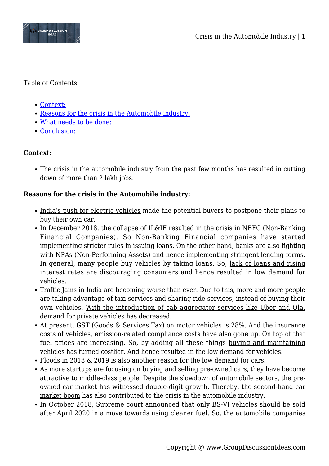

### Table of Contents

- [Context:](#page--1-0)
- [Reasons for the crisis in the Automobile industry:](#page--1-0)
- [What needs to be done:](#page--1-0)
- [Conclusion:](#page--1-0)

# **Context:**

The crisis in the automobile industry from the past few months has resulted in cutting down of more than 2 lakh jobs.

## **Reasons for the crisis in the Automobile industry:**

- India's push for electric vehicles made the potential buyers to postpone their plans to buy their own car.
- In December 2018, the collapse of IL&IF resulted in the crisis in NBFC (Non-Banking Financial Companies). So Non-Banking Financial companies have started implementing stricter rules in issuing loans. On the other hand, banks are also fighting with NPAs (Non-Performing Assets) and hence implementing stringent lending forms. In general, many people buy vehicles by taking loans. So, lack of loans and rising interest rates are discouraging consumers and hence resulted in low demand for vehicles.
- Traffic Jams in India are becoming worse than ever. Due to this, more and more people are taking advantage of taxi services and sharing ride services, instead of buying their own vehicles. With the introduction of cab aggregator services like Uber and Ola, demand for private vehicles has decreased.
- At present, GST (Goods & Services Tax) on motor vehicles is 28%. And the insurance costs of vehicles, emission-related compliance costs have also gone up. On top of that fuel prices are increasing. So, by adding all these things buying and maintaining vehicles has turned costlier. And hence resulted in the low demand for vehicles.
- Floods in 2018 & 2019 is also another reason for the low demand for cars.
- As more startups are focusing on buying and selling pre-owned cars, they have become attractive to middle-class people. Despite the slowdown of automobile sectors, the preowned car market has witnessed double-digit growth. Thereby, the second-hand car market boom has also contributed to the crisis in the automobile industry.
- In October 2018, Supreme court announced that only BS-VI vehicles should be sold after April 2020 in a move towards using cleaner fuel. So, the automobile companies